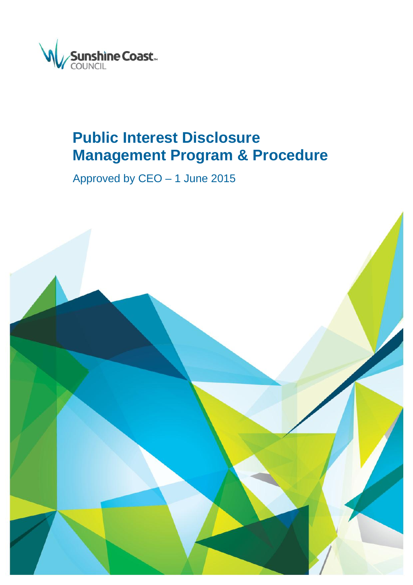

# **Public Interest Disclosure Management Program & Procedure**

Approved by CEO – 1 June 2015

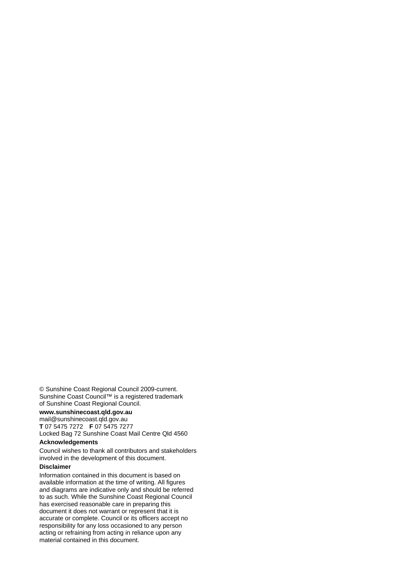© Sunshine Coast Regional Council 2009-current. Sunshine Coast Council™ is a registered trademark of Sunshine Coast Regional Council.

#### **www.sunshinecoast.qld.gov.au**

mail@sunshinecoast.qld.gov.au **T** 07 5475 7272 **F** 07 5475 7277 Locked Bag 72 Sunshine Coast Mail Centre Qld 4560

#### **Acknowledgements**

Council wishes to thank all contributors and stakeholders involved in the development of this document.

#### **Disclaimer**

Information contained in this document is based on available information at the time of writing. All figures and diagrams are indicative only and should be referred to as such. While the Sunshine Coast Regional Council has exercised reasonable care in preparing this document it does not warrant or represent that it is accurate or complete. Council or its officers accept no responsibility for any loss occasioned to any person acting or refraining from acting in reliance upon any material contained in this document.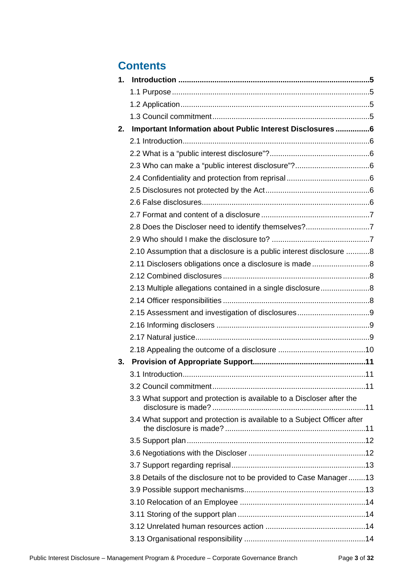## **Contents**

| 1. |                                                                         |  |
|----|-------------------------------------------------------------------------|--|
|    |                                                                         |  |
|    |                                                                         |  |
|    |                                                                         |  |
| 2. | Important Information about Public Interest Disclosures 6               |  |
|    |                                                                         |  |
|    |                                                                         |  |
|    |                                                                         |  |
|    |                                                                         |  |
|    |                                                                         |  |
|    |                                                                         |  |
|    |                                                                         |  |
|    | 2.8 Does the Discloser need to identify themselves?7                    |  |
|    |                                                                         |  |
|    | 2.10 Assumption that a disclosure is a public interest disclosure 8     |  |
|    |                                                                         |  |
|    |                                                                         |  |
|    | 2.13 Multiple allegations contained in a single disclosure8             |  |
|    |                                                                         |  |
|    |                                                                         |  |
|    |                                                                         |  |
|    |                                                                         |  |
|    |                                                                         |  |
| 3. |                                                                         |  |
|    |                                                                         |  |
|    |                                                                         |  |
|    | 3.3 What support and protection is available to a Discloser after the   |  |
|    | 3.4 What support and protection is available to a Subject Officer after |  |
|    |                                                                         |  |
|    |                                                                         |  |
|    |                                                                         |  |
|    | 3.8 Details of the disclosure not to be provided to Case Manager13      |  |
|    |                                                                         |  |
|    |                                                                         |  |
|    |                                                                         |  |
|    |                                                                         |  |
|    |                                                                         |  |
|    |                                                                         |  |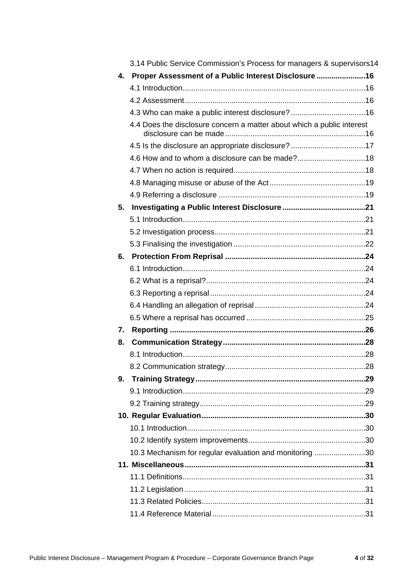|              | 3.14 Public Service Commission's Process for managers & supervisors 14 |  |  |
|--------------|------------------------------------------------------------------------|--|--|
| $\mathbf{4}$ | Proper Assessment of a Public Interest Disclosure16                    |  |  |
|              |                                                                        |  |  |
|              |                                                                        |  |  |
|              | 4.3 Who can make a public interest disclosure?16                       |  |  |
|              | 4.4 Does the disclosure concern a matter about which a public interest |  |  |
|              |                                                                        |  |  |
|              |                                                                        |  |  |
|              |                                                                        |  |  |
|              |                                                                        |  |  |
|              |                                                                        |  |  |
| 5.           |                                                                        |  |  |
|              |                                                                        |  |  |
|              |                                                                        |  |  |
|              |                                                                        |  |  |
| 6.           |                                                                        |  |  |
|              |                                                                        |  |  |
|              |                                                                        |  |  |
|              |                                                                        |  |  |
|              |                                                                        |  |  |
|              |                                                                        |  |  |
| 7.           |                                                                        |  |  |
| 8.           |                                                                        |  |  |
|              |                                                                        |  |  |
|              |                                                                        |  |  |
| 9.           |                                                                        |  |  |
|              |                                                                        |  |  |
|              |                                                                        |  |  |
|              |                                                                        |  |  |
|              |                                                                        |  |  |
|              |                                                                        |  |  |
|              | 10.3 Mechanism for regular evaluation and monitoring 30                |  |  |
|              |                                                                        |  |  |
|              |                                                                        |  |  |
|              |                                                                        |  |  |
|              |                                                                        |  |  |
|              |                                                                        |  |  |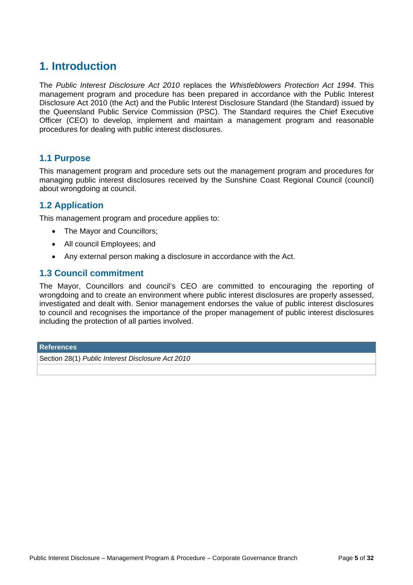## **1. Introduction**

The *Public Interest Disclosure Act 2010* replaces the *Whistleblowers Protection Act 1994*. This management program and procedure has been prepared in accordance with the Public Interest Disclosure Act 2010 (the Act) and the Public Interest Disclosure Standard (the Standard) issued by the Queensland Public Service Commission (PSC). The Standard requires the Chief Executive Officer (CEO) to develop, implement and maintain a management program and reasonable procedures for dealing with public interest disclosures.

## **1.1 Purpose**

This management program and procedure sets out the management program and procedures for managing public interest disclosures received by the Sunshine Coast Regional Council (council) about wrongdoing at council.

## **1.2 Application**

This management program and procedure applies to:

- The Mayor and Councillors;
- All council Employees: and
- Any external person making a disclosure in accordance with the Act.

## **1.3 Council commitment**

The Mayor, Councillors and council's CEO are committed to encouraging the reporting of wrongdoing and to create an environment where public interest disclosures are properly assessed, investigated and dealt with. Senior management endorses the value of public interest disclosures to council and recognises the importance of the proper management of public interest disclosures including the protection of all parties involved.

#### **References**

Section 28(1) *Public Interest Disclosure Act 2010*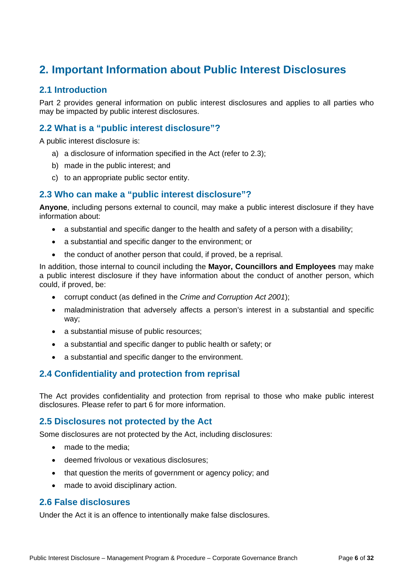## **2. Important Information about Public Interest Disclosures**

## **2.1 Introduction**

Part 2 provides general information on public interest disclosures and applies to all parties who may be impacted by public interest disclosures.

## **2.2 What is a "public interest disclosure"?**

A public interest disclosure is:

- a) a disclosure of information specified in the Act (refer to 2.3);
- b) made in the public interest; and
- c) to an appropriate public sector entity.

## **2.3 Who can make a "public interest disclosure"?**

**Anyone**, including persons external to council, may make a public interest disclosure if they have information about:

- a substantial and specific danger to the health and safety of a person with a disability;
- a substantial and specific danger to the environment; or
- the conduct of another person that could, if proved, be a reprisal.

In addition, those internal to council including the **Mayor, Councillors and Employees** may make a public interest disclosure if they have information about the conduct of another person, which could, if proved, be:

- corrupt conduct (as defined in the *Crime and Corruption Act 2001*);
- maladministration that adversely affects a person's interest in a substantial and specific way;
- a substantial misuse of public resources;
- a substantial and specific danger to public health or safety; or
- a substantial and specific danger to the environment.

## **2.4 Confidentiality and protection from reprisal**

The Act provides confidentiality and protection from reprisal to those who make public interest disclosures. Please refer to part 6 for more information.

### **2.5 Disclosures not protected by the Act**

Some disclosures are not protected by the Act, including disclosures:

- made to the media:
- deemed frivolous or vexatious disclosures;
- that question the merits of government or agency policy; and
- made to avoid disciplinary action.

## **2.6 False disclosures**

Under the Act it is an offence to intentionally make false disclosures.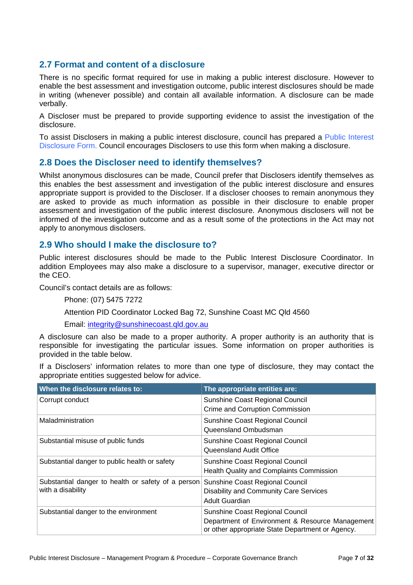## **2.7 Format and content of a disclosure**

There is no specific format required for use in making a public interest disclosure. However to enable the best assessment and investigation outcome, public interest disclosures should be made in writing (whenever possible) and contain all available information. A disclosure can be made verbally.

A Discloser must be prepared to provide supporting evidence to assist the investigation of the disclosure.

To assist Disclosers in making a public interest disclosure, council has prepared a Public Interest Disclosure Form. Council encourages Disclosers to use this form when making a disclosure.

## **2.8 Does the Discloser need to identify themselves?**

Whilst anonymous disclosures can be made, Council prefer that Disclosers identify themselves as this enables the best assessment and investigation of the public interest disclosure and ensures appropriate support is provided to the Discloser. If a discloser chooses to remain anonymous they are asked to provide as much information as possible in their disclosure to enable proper assessment and investigation of the public interest disclosure. Anonymous disclosers will not be informed of the investigation outcome and as a result some of the protections in the Act may not apply to anonymous disclosers.

### **2.9 Who should I make the disclosure to?**

Public interest disclosures should be made to the Public Interest Disclosure Coordinator. In addition Employees may also make a disclosure to a supervisor, manager, executive director or the CEO.

Council's contact details are as follows:

Phone: (07) 5475 7272

Attention PID Coordinator Locked Bag 72, Sunshine Coast MC Qld 4560

Email: integrity@sunshinecoast.qld.gov.au

A disclosure can also be made to a proper authority. A proper authority is an authority that is responsible for investigating the particular issues. Some information on proper authorities is provided in the table below.

If a Disclosers' information relates to more than one type of disclosure, they may contact the appropriate entities suggested below for advice.

| When the disclosure relates to:                    | The appropriate entities are:                                                                       |
|----------------------------------------------------|-----------------------------------------------------------------------------------------------------|
| Corrupt conduct                                    | Sunshine Coast Regional Council                                                                     |
|                                                    | Crime and Corruption Commission                                                                     |
| Maladministration                                  | Sunshine Coast Regional Council                                                                     |
|                                                    | Queensland Ombudsman                                                                                |
| Substantial misuse of public funds                 | Sunshine Coast Regional Council                                                                     |
|                                                    | Queensland Audit Office                                                                             |
| Substantial danger to public health or safety      | Sunshine Coast Regional Council                                                                     |
|                                                    | <b>Health Quality and Complaints Commission</b>                                                     |
| Substantial danger to health or safety of a person | Sunshine Coast Regional Council                                                                     |
| with a disability                                  | Disability and Community Care Services                                                              |
|                                                    | <b>Adult Guardian</b>                                                                               |
| Substantial danger to the environment              | Sunshine Coast Regional Council                                                                     |
|                                                    | Department of Environment & Resource Management<br>or other appropriate State Department or Agency. |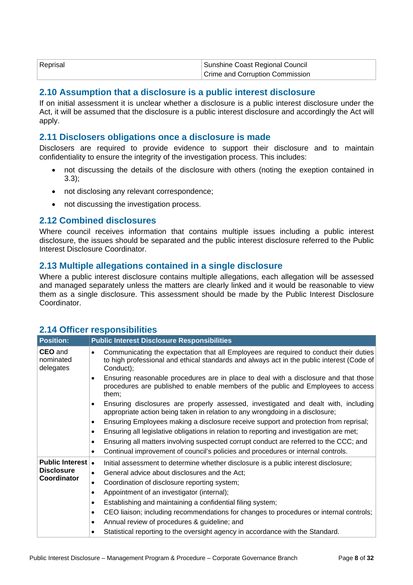| Reprisal | Sunshine Coast Regional Council        |  |
|----------|----------------------------------------|--|
|          | <b>Crime and Corruption Commission</b> |  |

### **2.10 Assumption that a disclosure is a public interest disclosure**

If on initial assessment it is unclear whether a disclosure is a public interest disclosure under the Act, it will be assumed that the disclosure is a public interest disclosure and accordingly the Act will apply.

#### **2.11 Disclosers obligations once a disclosure is made**

Disclosers are required to provide evidence to support their disclosure and to maintain confidentiality to ensure the integrity of the investigation process. This includes:

- not discussing the details of the disclosure with others (noting the exeption contained in 3.3);
- not disclosing any relevant correspondence:
- not discussing the investigation process.

#### **2.12 Combined disclosures**

Where council receives information that contains multiple issues including a public interest disclosure, the issues should be separated and the public interest disclosure referred to the Public Interest Disclosure Coordinator.

#### **2.13 Multiple allegations contained in a single disclosure**

Where a public interest disclosure contains multiple allegations, each allegation will be assessed and managed separately unless the matters are clearly linked and it would be reasonable to view them as a single disclosure. This assessment should be made by the Public Interest Disclosure Coordinator.

| <b>Position:</b>                         | <b>Public Interest Disclosure Responsibilities</b>                                                                                                                                                           |  |  |
|------------------------------------------|--------------------------------------------------------------------------------------------------------------------------------------------------------------------------------------------------------------|--|--|
| <b>CEO</b> and<br>nominated<br>delegates | Communicating the expectation that all Employees are required to conduct their duties<br>$\bullet$<br>to high professional and ethical standards and always act in the public interest (Code of<br>Conduct); |  |  |
|                                          | Ensuring reasonable procedures are in place to deal with a disclosure and that those<br>$\bullet$<br>procedures are published to enable members of the public and Employees to access<br>them;               |  |  |
|                                          | Ensuring disclosures are properly assessed, investigated and dealt with, including<br>$\bullet$<br>appropriate action being taken in relation to any wrongdoing in a disclosure;                             |  |  |
|                                          | Ensuring Employees making a disclosure receive support and protection from reprisal;<br>$\bullet$                                                                                                            |  |  |
|                                          | Ensuring all legislative obligations in relation to reporting and investigation are met;<br>$\bullet$                                                                                                        |  |  |
|                                          | Ensuring all matters involving suspected corrupt conduct are referred to the CCC; and<br>$\bullet$                                                                                                           |  |  |
|                                          | Continual improvement of council's policies and procedures or internal controls.<br>$\bullet$                                                                                                                |  |  |
| <b>Public Interest   •</b>               | Initial assessment to determine whether disclosure is a public interest disclosure;                                                                                                                          |  |  |
| <b>Disclosure</b><br>Coordinator         | General advice about disclosures and the Act;<br>$\bullet$                                                                                                                                                   |  |  |
|                                          | Coordination of disclosure reporting system;<br>$\bullet$                                                                                                                                                    |  |  |
|                                          | Appointment of an investigator (internal);<br>$\bullet$                                                                                                                                                      |  |  |
|                                          | Establishing and maintaining a confidential filing system;<br>$\bullet$                                                                                                                                      |  |  |
|                                          | CEO liaison; including recommendations for changes to procedures or internal controls;<br>$\bullet$                                                                                                          |  |  |
|                                          | Annual review of procedures & guideline; and<br>$\bullet$                                                                                                                                                    |  |  |
|                                          | Statistical reporting to the oversight agency in accordance with the Standard.<br>$\bullet$                                                                                                                  |  |  |

### **2.14 Officer responsibilities**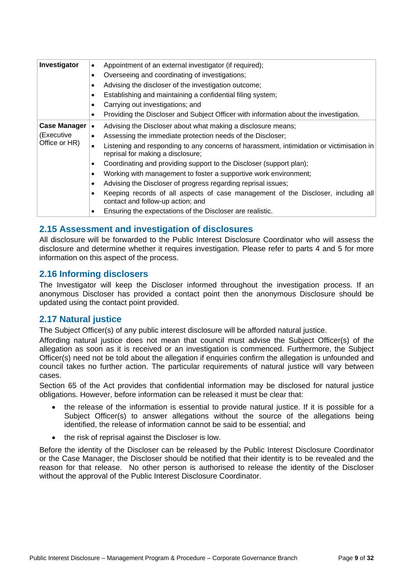| Investigator        | Appointment of an external investigator (if required);<br>$\bullet$                                                           |
|---------------------|-------------------------------------------------------------------------------------------------------------------------------|
|                     | Overseeing and coordinating of investigations;<br>٠                                                                           |
|                     | Advising the discloser of the investigation outcome;                                                                          |
|                     | Establishing and maintaining a confidential filing system;<br>٠                                                               |
|                     | Carrying out investigations; and<br>٠                                                                                         |
|                     | Providing the Discloser and Subject Officer with information about the investigation.                                         |
| <b>Case Manager</b> | Advising the Discloser about what making a disclosure means;<br>$\bullet$                                                     |
| (Executive          | Assessing the immediate protection needs of the Discloser;<br>$\bullet$                                                       |
| Office or HR)       | Listening and responding to any concerns of harassment, intimidation or victimisation in<br>reprisal for making a disclosure; |
|                     | Coordinating and providing support to the Discloser (support plan);<br>٠                                                      |
|                     | Working with management to foster a supportive work environment;<br>$\bullet$                                                 |
|                     | Advising the Discloser of progress regarding reprisal issues;<br>٠                                                            |
|                     | Keeping records of all aspects of case management of the Discloser, including all<br>contact and follow-up action; and        |
|                     | Ensuring the expectations of the Discloser are realistic.                                                                     |

## **2.15 Assessment and investigation of disclosures**

All disclosure will be forwarded to the Public Interest Disclosure Coordinator who will assess the disclosure and determine whether it requires investigation. Please refer to parts 4 and 5 for more information on this aspect of the process.

## **2.16 Informing disclosers**

The Investigator will keep the Discloser informed throughout the investigation process. If an anonymous Discloser has provided a contact point then the anonymous Disclosure should be updated using the contact point provided.

## **2.17 Natural justice**

The Subject Officer(s) of any public interest disclosure will be afforded natural justice.

Affording natural justice does not mean that council must advise the Subject Officer(s) of the allegation as soon as it is received or an investigation is commenced. Furthermore, the Subject Officer(s) need not be told about the allegation if enquiries confirm the allegation is unfounded and council takes no further action. The particular requirements of natural justice will vary between cases.

Section 65 of the Act provides that confidential information may be disclosed for natural justice obligations. However, before information can be released it must be clear that:

- the release of the information is essential to provide natural justice. If it is possible for a Subject Officer(s) to answer allegations without the source of the allegations being identified, the release of information cannot be said to be essential; and
- the risk of reprisal against the Discloser is low.

Before the identity of the Discloser can be released by the Public Interest Disclosure Coordinator or the Case Manager, the Discloser should be notified that their identity is to be revealed and the reason for that release. No other person is authorised to release the identity of the Discloser without the approval of the Public Interest Disclosure Coordinator.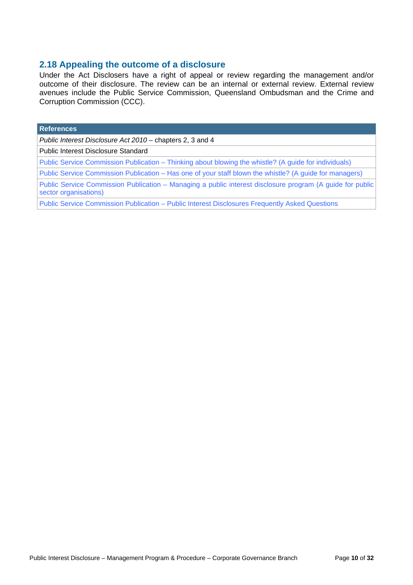## **2.18 Appealing the outcome of a disclosure**

Under the Act Disclosers have a right of appeal or review regarding the management and/or outcome of their disclosure. The review can be an internal or external review. External review avenues include the Public Service Commission, Queensland Ombudsman and the Crime and Corruption Commission (CCC).

| <b>References</b>                                                                                                                  |
|------------------------------------------------------------------------------------------------------------------------------------|
| Public Interest Disclosure Act 2010 – chapters 2, 3 and 4                                                                          |
| Public Interest Disclosure Standard                                                                                                |
| Public Service Commission Publication – Thinking about blowing the whistle? (A guide for individuals)                              |
| Public Service Commission Publication – Has one of your staff blown the whistle? (A guide for managers)                            |
| Public Service Commission Publication – Managing a public interest disclosure program (A guide for public<br>sector organisations) |
| Public Service Commission Publication - Public Interest Disclosures Frequently Asked Questions                                     |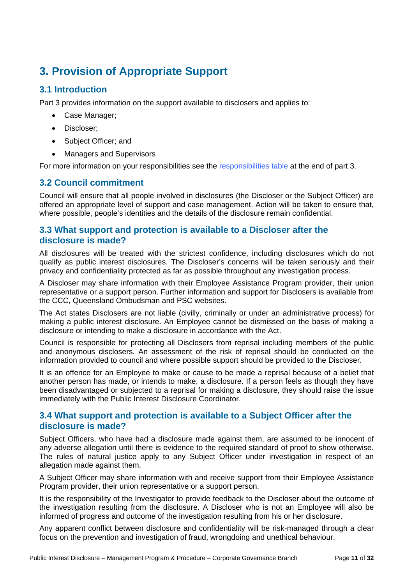## **3. Provision of Appropriate Support**

## **3.1 Introduction**

Part 3 provides information on the support available to disclosers and applies to:

- Case Manager;
- Discloser:
- Subject Officer; and
- Managers and Supervisors

For more information on your responsibilities see the responsibilities table at the end of part 3.

## **3.2 Council commitment**

Council will ensure that all people involved in disclosures (the Discloser or the Subject Officer) are offered an appropriate level of support and case management. Action will be taken to ensure that, where possible, people's identities and the details of the disclosure remain confidential.

## **3.3 What support and protection is available to a Discloser after the disclosure is made?**

All disclosures will be treated with the strictest confidence, including disclosures which do not qualify as public interest disclosures. The Discloser's concerns will be taken seriously and their privacy and confidentiality protected as far as possible throughout any investigation process.

A Discloser may share information with their Employee Assistance Program provider, their union representative or a support person. Further information and support for Disclosers is available from the CCC, Queensland Ombudsman and PSC websites.

The Act states Disclosers are not liable (civilly, criminally or under an administrative process) for making a public interest disclosure. An Employee cannot be dismissed on the basis of making a disclosure or intending to make a disclosure in accordance with the Act.

Council is responsible for protecting all Disclosers from reprisal including members of the public and anonymous disclosers. An assessment of the risk of reprisal should be conducted on the information provided to council and where possible support should be provided to the Discloser.

It is an offence for an Employee to make or cause to be made a reprisal because of a belief that another person has made, or intends to make, a disclosure. If a person feels as though they have been disadvantaged or subjected to a reprisal for making a disclosure, they should raise the issue immediately with the Public Interest Disclosure Coordinator.

## **3.4 What support and protection is available to a Subject Officer after the disclosure is made?**

Subject Officers, who have had a disclosure made against them, are assumed to be innocent of any adverse allegation until there is evidence to the required standard of proof to show otherwise. The rules of natural justice apply to any Subject Officer under investigation in respect of an allegation made against them.

A Subject Officer may share information with and receive support from their Employee Assistance Program provider, their union representative or a support person.

It is the responsibility of the Investigator to provide feedback to the Discloser about the outcome of the investigation resulting from the disclosure. A Discloser who is not an Employee will also be informed of progress and outcome of the investigation resulting from his or her disclosure.

Any apparent conflict between disclosure and confidentiality will be risk-managed through a clear focus on the prevention and investigation of fraud, wrongdoing and unethical behaviour.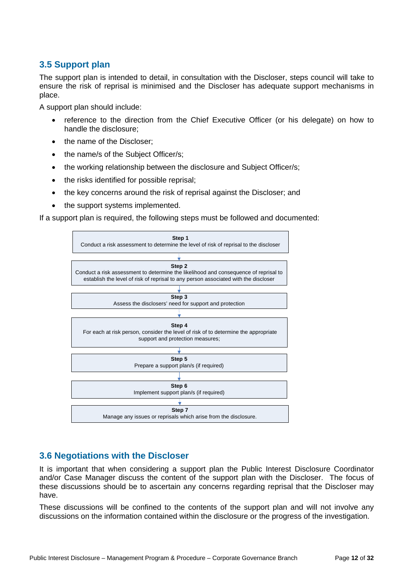## **3.5 Support plan**

The support plan is intended to detail, in consultation with the Discloser, steps council will take to ensure the risk of reprisal is minimised and the Discloser has adequate support mechanisms in place.

A support plan should include:

- reference to the direction from the Chief Executive Officer (or his delegate) on how to handle the disclosure;
- the name of the Discloser:
- the name/s of the Subject Officer/s:
- the working relationship between the disclosure and Subject Officer/s;
- the risks identified for possible reprisal;
- the key concerns around the risk of reprisal against the Discloser; and
- the support systems implemented.

If a support plan is required, the following steps must be followed and documented:



## **3.6 Negotiations with the Discloser**

It is important that when considering a support plan the Public Interest Disclosure Coordinator and/or Case Manager discuss the content of the support plan with the Discloser. The focus of these discussions should be to ascertain any concerns regarding reprisal that the Discloser may have.

These discussions will be confined to the contents of the support plan and will not involve any discussions on the information contained within the disclosure or the progress of the investigation.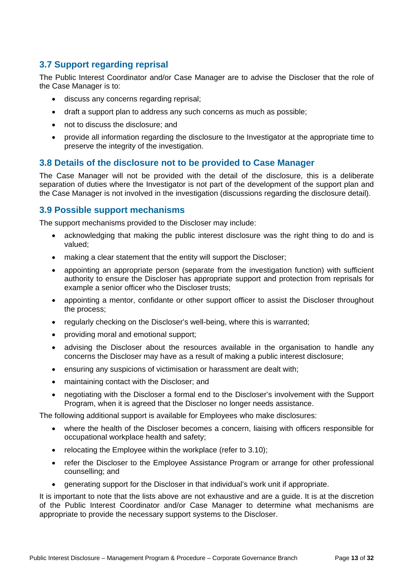## **3.7 Support regarding reprisal**

The Public Interest Coordinator and/or Case Manager are to advise the Discloser that the role of the Case Manager is to:

- discuss any concerns regarding reprisal;
- draft a support plan to address any such concerns as much as possible;
- not to discuss the disclosure; and
- provide all information regarding the disclosure to the Investigator at the appropriate time to preserve the integrity of the investigation.

### **3.8 Details of the disclosure not to be provided to Case Manager**

The Case Manager will not be provided with the detail of the disclosure, this is a deliberate separation of duties where the Investigator is not part of the development of the support plan and the Case Manager is not involved in the investigation (discussions regarding the disclosure detail).

## **3.9 Possible support mechanisms**

The support mechanisms provided to the Discloser may include:

- acknowledging that making the public interest disclosure was the right thing to do and is valued;
- making a clear statement that the entity will support the Discloser;
- appointing an appropriate person (separate from the investigation function) with sufficient authority to ensure the Discloser has appropriate support and protection from reprisals for example a senior officer who the Discloser trusts;
- appointing a mentor, confidante or other support officer to assist the Discloser throughout the process;
- regularly checking on the Discloser's well-being, where this is warranted;
- providing moral and emotional support;
- advising the Discloser about the resources available in the organisation to handle any concerns the Discloser may have as a result of making a public interest disclosure;
- ensuring any suspicions of victimisation or harassment are dealt with;
- maintaining contact with the Discloser; and
- negotiating with the Discloser a formal end to the Discloser's involvement with the Support Program, when it is agreed that the Discloser no longer needs assistance.

The following additional support is available for Employees who make disclosures:

- where the health of the Discloser becomes a concern, liaising with officers responsible for occupational workplace health and safety;
- relocating the Employee within the workplace (refer to  $3.10$ );
- refer the Discloser to the Employee Assistance Program or arrange for other professional counselling; and
- generating support for the Discloser in that individual's work unit if appropriate.

It is important to note that the lists above are not exhaustive and are a guide. It is at the discretion of the Public Interest Coordinator and/or Case Manager to determine what mechanisms are appropriate to provide the necessary support systems to the Discloser.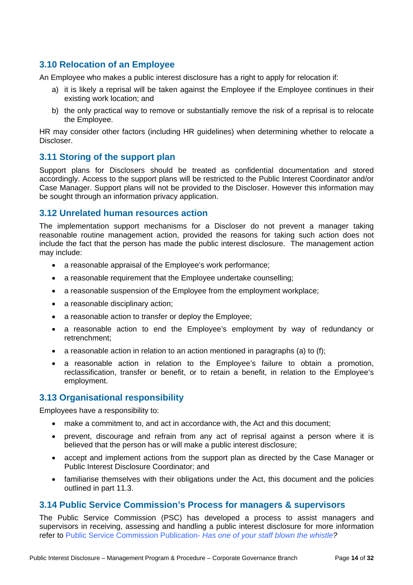## **3.10 Relocation of an Employee**

An Employee who makes a public interest disclosure has a right to apply for relocation if:

- a) it is likely a reprisal will be taken against the Employee if the Employee continues in their existing work location; and
- b) the only practical way to remove or substantially remove the risk of a reprisal is to relocate the Employee.

HR may consider other factors (including HR guidelines) when determining whether to relocate a Discloser.

## **3.11 Storing of the support plan**

Support plans for Disclosers should be treated as confidential documentation and stored accordingly. Access to the support plans will be restricted to the Public Interest Coordinator and/or Case Manager. Support plans will not be provided to the Discloser. However this information may be sought through an information privacy application.

## **3.12 Unrelated human resources action**

The implementation support mechanisms for a Discloser do not prevent a manager taking reasonable routine management action, provided the reasons for taking such action does not include the fact that the person has made the public interest disclosure. The management action may include:

- a reasonable appraisal of the Employee's work performance:
- a reasonable requirement that the Employee undertake counselling;
- a reasonable suspension of the Employee from the employment workplace;
- a reasonable disciplinary action;
- a reasonable action to transfer or deploy the Employee;
- a reasonable action to end the Employee's employment by way of redundancy or retrenchment;
- $\bullet$  a reasonable action in relation to an action mentioned in paragraphs (a) to (f):
- a reasonable action in relation to the Employee's failure to obtain a promotion, reclassification, transfer or benefit, or to retain a benefit, in relation to the Employee's employment.

### **3.13 Organisational responsibility**

Employees have a responsibility to:

- make a commitment to, and act in accordance with, the Act and this document;
- prevent, discourage and refrain from any act of reprisal against a person where it is believed that the person has or will make a public interest disclosure;
- accept and implement actions from the support plan as directed by the Case Manager or Public Interest Disclosure Coordinator; and
- familiarise themselves with their obligations under the Act, this document and the policies outlined in part 11.3.

### **3.14 Public Service Commission's Process for managers & supervisors**

The Public Service Commission (PSC) has developed a process to assist managers and supervisors in receiving, assessing and handling a public interest disclosure for more information refer to Public Service Commission Publication- *Has one of your staff blown the whistle?*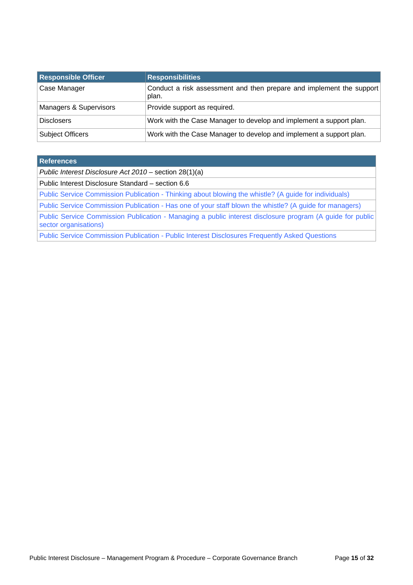| <b>Responsible Officer</b> | <b>Responsibilities</b>                                                       |
|----------------------------|-------------------------------------------------------------------------------|
| Case Manager               | Conduct a risk assessment and then prepare and implement the support<br>plan. |
| Managers & Supervisors     | Provide support as required.                                                  |
| <b>Disclosers</b>          | Work with the Case Manager to develop and implement a support plan.           |
| <b>Subject Officers</b>    | Work with the Case Manager to develop and implement a support plan.           |

#### **References**

*Public Interest Disclosure Act 2010* – section 28(1)(a)

Public Interest Disclosure Standard – section 6.6

Public Service Commission Publication - Thinking about blowing the whistle? (A guide for individuals)

Public Service Commission Publication - Has one of your staff blown the whistle? (A guide for managers)

Public Service Commission Publication - Managing a public interest disclosure program (A guide for public sector organisations)

Public Service Commission Publication - Public Interest Disclosures Frequently Asked Questions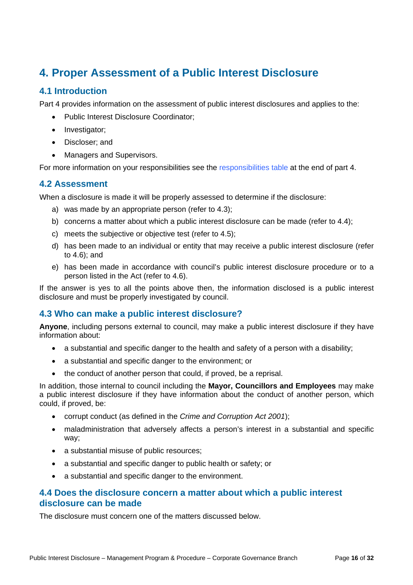## **4. Proper Assessment of a Public Interest Disclosure**

## **4.1 Introduction**

Part 4 provides information on the assessment of public interest disclosures and applies to the:

- Public Interest Disclosure Coordinator;
- Investigator;
- Discloser; and
- Managers and Supervisors.

For more information on your responsibilities see the responsibilities table at the end of part 4.

## **4.2 Assessment**

When a disclosure is made it will be properly assessed to determine if the disclosure:

- a) was made by an appropriate person (refer to 4.3);
- b) concerns a matter about which a public interest disclosure can be made (refer to 4.4);
- c) meets the subjective or objective test (refer to 4.5);
- d) has been made to an individual or entity that may receive a public interest disclosure (refer to 4.6); and
- e) has been made in accordance with council's public interest disclosure procedure or to a person listed in the Act (refer to 4.6).

If the answer is yes to all the points above then, the information disclosed is a public interest disclosure and must be properly investigated by council.

## **4.3 Who can make a public interest disclosure?**

**Anyone**, including persons external to council, may make a public interest disclosure if they have information about:

- a substantial and specific danger to the health and safety of a person with a disability;
- a substantial and specific danger to the environment; or
- the conduct of another person that could, if proved, be a reprisal.

In addition, those internal to council including the **Mayor, Councillors and Employees** may make a public interest disclosure if they have information about the conduct of another person, which could, if proved, be:

- corrupt conduct (as defined in the *Crime and Corruption Act 2001*);
- maladministration that adversely affects a person's interest in a substantial and specific way;
- a substantial misuse of public resources;
- a substantial and specific danger to public health or safety; or
- a substantial and specific danger to the environment.

## **4.4 Does the disclosure concern a matter about which a public interest disclosure can be made**

The disclosure must concern one of the matters discussed below.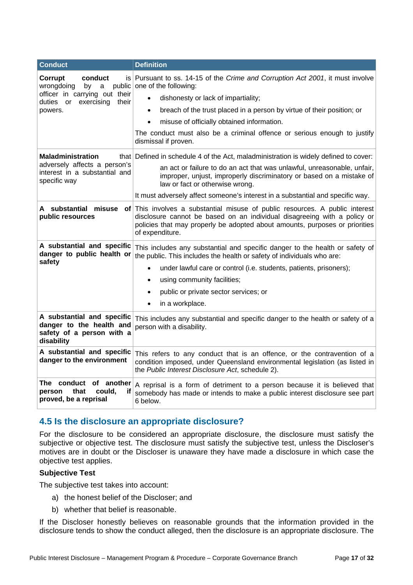| <b>Conduct</b>                                                                                    | <b>Definition</b>                                                                                                                                                                                                                                          |  |  |
|---------------------------------------------------------------------------------------------------|------------------------------------------------------------------------------------------------------------------------------------------------------------------------------------------------------------------------------------------------------------|--|--|
| Corrupt<br>conduct<br>wrongdoing<br>by<br>a                                                       | is Pursuant to ss. 14-15 of the Crime and Corruption Act 2001, it must involve<br>public one of the following:                                                                                                                                             |  |  |
| officer in carrying out their<br>duties<br>exercising<br><b>or</b><br>their                       | dishonesty or lack of impartiality;                                                                                                                                                                                                                        |  |  |
| powers.                                                                                           | breach of the trust placed in a person by virtue of their position; or<br>$\bullet$                                                                                                                                                                        |  |  |
|                                                                                                   | misuse of officially obtained information.                                                                                                                                                                                                                 |  |  |
|                                                                                                   | The conduct must also be a criminal offence or serious enough to justify<br>dismissal if proven.                                                                                                                                                           |  |  |
| <b>Maladministration</b>                                                                          | that Defined in schedule 4 of the Act, maladministration is widely defined to cover:                                                                                                                                                                       |  |  |
| adversely affects a person's<br>interest in a substantial and<br>specific way                     | an act or failure to do an act that was unlawful, unreasonable, unfair,<br>improper, unjust, improperly discriminatory or based on a mistake of<br>law or fact or otherwise wrong.                                                                         |  |  |
|                                                                                                   | It must adversely affect someone's interest in a substantial and specific way.                                                                                                                                                                             |  |  |
| A substantial misuse<br>public resources                                                          | of This involves a substantial misuse of public resources. A public interest<br>disclosure cannot be based on an individual disagreeing with a policy or<br>policies that may properly be adopted about amounts, purposes or priorities<br>of expenditure. |  |  |
| A substantial and specific<br>danger to public health or                                          | This includes any substantial and specific danger to the health or safety of<br>the public. This includes the health or safety of individuals who are:                                                                                                     |  |  |
| safety                                                                                            | under lawful care or control (i.e. students, patients, prisoners);<br>$\bullet$                                                                                                                                                                            |  |  |
|                                                                                                   | using community facilities;                                                                                                                                                                                                                                |  |  |
|                                                                                                   | public or private sector services; or                                                                                                                                                                                                                      |  |  |
|                                                                                                   | in a workplace.<br>$\bullet$                                                                                                                                                                                                                               |  |  |
| A substantial and specific<br>danger to the health and<br>safety of a person with a<br>disability | This includes any substantial and specific danger to the health or safety of a<br>person with a disability.                                                                                                                                                |  |  |
| A substantial and specific<br>danger to the environment                                           | This refers to any conduct that is an offence, or the contravention of a<br>condition imposed, under Queensland environmental legislation (as listed in<br>the Public Interest Disclosure Act, schedule 2).                                                |  |  |
| The conduct of another<br>person<br>that<br>could.<br>if<br>proved, be a reprisal                 | A reprisal is a form of detriment to a person because it is believed that<br>somebody has made or intends to make a public interest disclosure see part<br>6 below.                                                                                        |  |  |

## **4.5 Is the disclosure an appropriate disclosure?**

For the disclosure to be considered an appropriate disclosure, the disclosure must satisfy the subjective or objective test. The disclosure must satisfy the subjective test, unless the Discloser's motives are in doubt or the Discloser is unaware they have made a disclosure in which case the objective test applies.

#### **Subjective Test**

The subjective test takes into account:

- a) the honest belief of the Discloser; and
- b) whether that belief is reasonable.

If the Discloser honestly believes on reasonable grounds that the information provided in the disclosure tends to show the conduct alleged, then the disclosure is an appropriate disclosure. The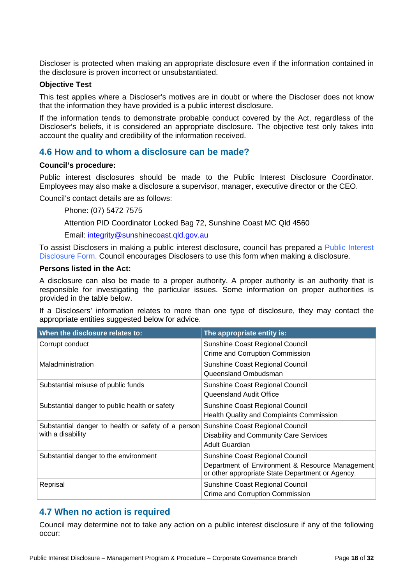Discloser is protected when making an appropriate disclosure even if the information contained in the disclosure is proven incorrect or unsubstantiated.

#### **Objective Test**

This test applies where a Discloser's motives are in doubt or where the Discloser does not know that the information they have provided is a public interest disclosure.

If the information tends to demonstrate probable conduct covered by the Act, regardless of the Discloser's beliefs, it is considered an appropriate disclosure. The objective test only takes into account the quality and credibility of the information received.

### **4.6 How and to whom a disclosure can be made?**

#### **Council's procedure:**

Public interest disclosures should be made to the Public Interest Disclosure Coordinator. Employees may also make a disclosure a supervisor, manager, executive director or the CEO.

Council's contact details are as follows:

Phone: (07) 5472 7575

Attention PID Coordinator Locked Bag 72, Sunshine Coast MC Qld 4560

Email: integrity@sunshinecoast.qld.gov.au

To assist Disclosers in making a public interest disclosure, council has prepared a Public Interest Disclosure Form. Council encourages Disclosers to use this form when making a disclosure.

#### **Persons listed in the Act:**

A disclosure can also be made to a proper authority. A proper authority is an authority that is responsible for investigating the particular issues. Some information on proper authorities is provided in the table below.

If a Disclosers' information relates to more than one type of disclosure, they may contact the appropriate entities suggested below for advice.

| When the disclosure relates to:                                         | The appropriate entity is:                                                                                                             |
|-------------------------------------------------------------------------|----------------------------------------------------------------------------------------------------------------------------------------|
| Corrupt conduct                                                         | Sunshine Coast Regional Council<br>Crime and Corruption Commission                                                                     |
| Maladministration                                                       | Sunshine Coast Regional Council<br>Queensland Ombudsman                                                                                |
| Substantial misuse of public funds                                      | Sunshine Coast Regional Council<br>Queensland Audit Office                                                                             |
| Substantial danger to public health or safety                           | Sunshine Coast Regional Council<br><b>Health Quality and Complaints Commission</b>                                                     |
| Substantial danger to health or safety of a person<br>with a disability | Sunshine Coast Regional Council<br><b>Disability and Community Care Services</b><br><b>Adult Guardian</b>                              |
| Substantial danger to the environment                                   | Sunshine Coast Regional Council<br>Department of Environment & Resource Management<br>or other appropriate State Department or Agency. |
| Reprisal                                                                | Sunshine Coast Regional Council<br>Crime and Corruption Commission                                                                     |

## **4.7 When no action is required**

Council may determine not to take any action on a public interest disclosure if any of the following occur: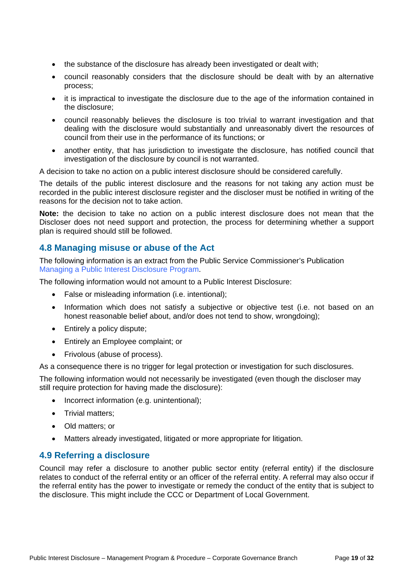- the substance of the disclosure has already been investigated or dealt with;
- council reasonably considers that the disclosure should be dealt with by an alternative process;
- it is impractical to investigate the disclosure due to the age of the information contained in the disclosure;
- council reasonably believes the disclosure is too trivial to warrant investigation and that dealing with the disclosure would substantially and unreasonably divert the resources of council from their use in the performance of its functions; or
- another entity, that has jurisdiction to investigate the disclosure, has notified council that investigation of the disclosure by council is not warranted.

A decision to take no action on a public interest disclosure should be considered carefully.

The details of the public interest disclosure and the reasons for not taking any action must be recorded in the public interest disclosure register and the discloser must be notified in writing of the reasons for the decision not to take action.

**Note:** the decision to take no action on a public interest disclosure does not mean that the Discloser does not need support and protection, the process for determining whether a support plan is required should still be followed.

### **4.8 Managing misuse or abuse of the Act**

The following information is an extract from the Public Service Commissioner's Publication Managing a Public Interest Disclosure Program.

The following information would not amount to a Public Interest Disclosure:

- False or misleading information (i.e. intentional);
- Information which does not satisfy a subjective or objective test (i.e. not based on an honest reasonable belief about, and/or does not tend to show, wrongdoing);
- Entirely a policy dispute:
- Entirely an Employee complaint; or
- Frivolous (abuse of process).

As a consequence there is no trigger for legal protection or investigation for such disclosures.

The following information would not necessarily be investigated (even though the discloser may still require protection for having made the disclosure):

- Incorrect information (e.g. unintentional);
- Trivial matters:
- Old matters: or
- Matters already investigated, litigated or more appropriate for litigation.

#### **4.9 Referring a disclosure**

Council may refer a disclosure to another public sector entity (referral entity) if the disclosure relates to conduct of the referral entity or an officer of the referral entity. A referral may also occur if the referral entity has the power to investigate or remedy the conduct of the entity that is subject to the disclosure. This might include the CCC or Department of Local Government.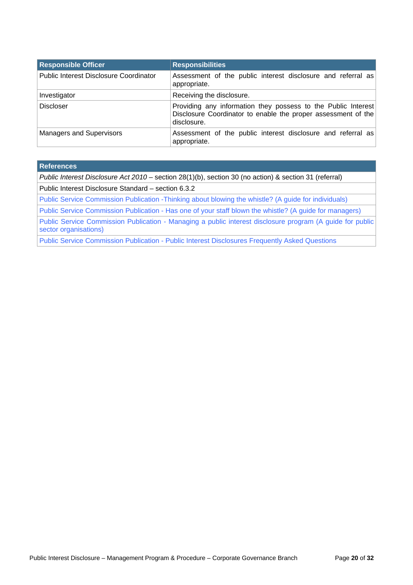| <b>Responsible Officer</b>                    | <b>Responsibilities</b>                                                                                                                       |  |
|-----------------------------------------------|-----------------------------------------------------------------------------------------------------------------------------------------------|--|
| <b>Public Interest Disclosure Coordinator</b> | Assessment of the public interest disclosure and referral as<br>appropriate.                                                                  |  |
| Investigator                                  | Receiving the disclosure.                                                                                                                     |  |
| <b>Discloser</b>                              | Providing any information they possess to the Public Interest<br>Disclosure Coordinator to enable the proper assessment of the<br>disclosure. |  |
| <b>Managers and Supervisors</b>               | Assessment of the public interest disclosure and referral as<br>appropriate.                                                                  |  |

#### **References**

*Public Interest Disclosure Act 2010* – section 28(1)(b), section 30 (no action) & section 31 (referral)

Public Interest Disclosure Standard – section 6.3.2

Public Service Commission Publication -Thinking about blowing the whistle? (A guide for individuals)

Public Service Commission Publication - Has one of your staff blown the whistle? (A guide for managers)

Public Service Commission Publication - Managing a public interest disclosure program (A guide for public sector organisations)

Public Service Commission Publication - Public Interest Disclosures Frequently Asked Questions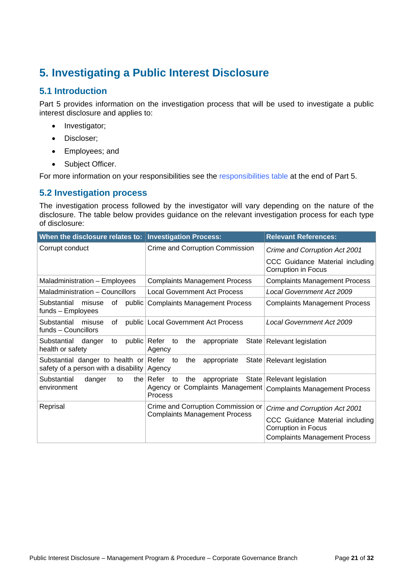## **5. Investigating a Public Interest Disclosure**

## **5.1 Introduction**

Part 5 provides information on the investigation process that will be used to investigate a public interest disclosure and applies to:

- Investigator;
- Discloser;
- Employees; and
- Subject Officer.

For more information on your responsibilities see the responsibilities table at the end of Part 5.

## **5.2 Investigation process**

The investigation process followed by the investigator will vary depending on the nature of the disclosure. The table below provides guidance on the relevant investigation process for each type of disclosure:

| When the disclosure relates to:   Investigation Process:                         |                                                         | <b>Relevant References:</b>                            |
|----------------------------------------------------------------------------------|---------------------------------------------------------|--------------------------------------------------------|
| Corrupt conduct                                                                  | Crime and Corruption Commission                         | Crime and Corruption Act 2001                          |
|                                                                                  |                                                         | CCC Guidance Material including<br>Corruption in Focus |
| Maladministration - Employees                                                    | <b>Complaints Management Process</b>                    | <b>Complaints Management Process</b>                   |
| Maladministration - Councillors                                                  | Local Government Act Process                            | Local Government Act 2009                              |
| Substantial<br>misuse<br>of<br>public<br>funds - Employees                       | <b>Complaints Management Process</b>                    | <b>Complaints Management Process</b>                   |
| Substantial<br>misuse<br>οf<br>funds - Councillors                               | public Local Government Act Process                     | Local Government Act 2009                              |
| public   Refer<br>Substantial<br>danger<br>to<br>health or safety                | appropriate<br>the<br>to<br>Agency                      | State   Relevant legislation                           |
| Substantial danger to health or Refer to<br>safety of a person with a disability | the<br>appropriate<br>Agency                            | State   Relevant legislation                           |
| Substantial<br>danger<br>to                                                      | the $\vert$ Refer<br>State <br>to<br>the<br>appropriate | <b>Relevant legislation</b>                            |
| environment                                                                      | Agency or Complaints Management<br>Process              | <b>Complaints Management Process</b>                   |
| Reprisal                                                                         | Crime and Corruption Commission or                      | Crime and Corruption Act 2001                          |
|                                                                                  | <b>Complaints Management Process</b>                    | CCC Guidance Material including<br>Corruption in Focus |
|                                                                                  |                                                         | <b>Complaints Management Process</b>                   |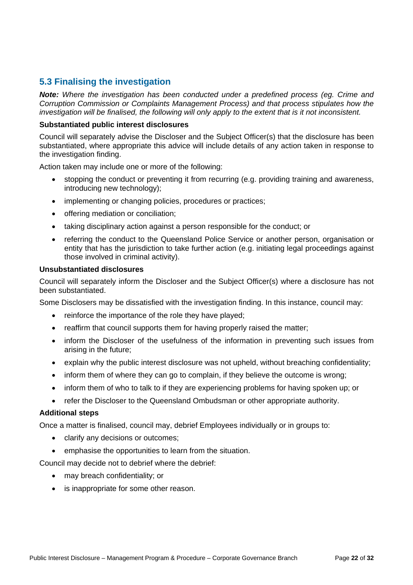## **5.3 Finalising the investigation**

*Note: Where the investigation has been conducted under a predefined process (eg. Crime and Corruption Commission or Complaints Management Process) and that process stipulates how the investigation will be finalised, the following will only apply to the extent that is it not inconsistent.* 

#### **Substantiated public interest disclosures**

Council will separately advise the Discloser and the Subject Officer(s) that the disclosure has been substantiated, where appropriate this advice will include details of any action taken in response to the investigation finding.

Action taken may include one or more of the following:

- stopping the conduct or preventing it from recurring (e.g. providing training and awareness, introducing new technology);
- implementing or changing policies, procedures or practices;
- offering mediation or conciliation:
- taking disciplinary action against a person responsible for the conduct; or
- referring the conduct to the Queensland Police Service or another person, organisation or entity that has the jurisdiction to take further action (e.g. initiating legal proceedings against those involved in criminal activity).

#### **Unsubstantiated disclosures**

Council will separately inform the Discloser and the Subject Officer(s) where a disclosure has not been substantiated.

Some Disclosers may be dissatisfied with the investigation finding. In this instance, council may:

- reinforce the importance of the role they have played;
- reaffirm that council supports them for having properly raised the matter;
- inform the Discloser of the usefulness of the information in preventing such issues from arising in the future;
- explain why the public interest disclosure was not upheld, without breaching confidentiality;
- inform them of where they can go to complain, if they believe the outcome is wrong;
- inform them of who to talk to if they are experiencing problems for having spoken up; or
- refer the Discloser to the Queensland Ombudsman or other appropriate authority.

#### **Additional steps**

Once a matter is finalised, council may, debrief Employees individually or in groups to:

- clarify any decisions or outcomes;
- emphasise the opportunities to learn from the situation.

Council may decide not to debrief where the debrief:

- may breach confidentiality; or
- is inappropriate for some other reason.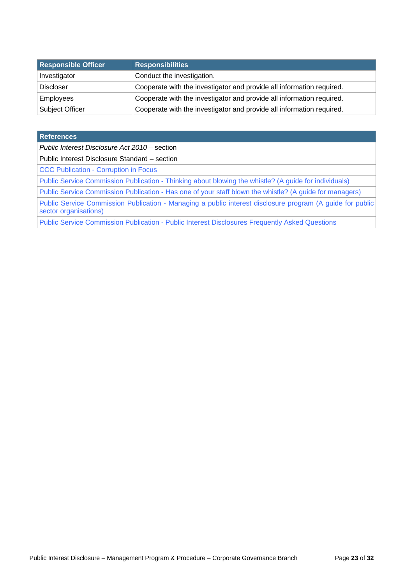| <b>Responsible Officer</b> | <b>Responsibilities</b>                                               |  |  |
|----------------------------|-----------------------------------------------------------------------|--|--|
| Investigator               | Conduct the investigation.                                            |  |  |
| <b>Discloser</b>           | Cooperate with the investigator and provide all information required. |  |  |
| <b>Employees</b>           | Cooperate with the investigator and provide all information required. |  |  |
| <b>Subject Officer</b>     | Cooperate with the investigator and provide all information required. |  |  |

| <b>References</b>                                                                                                                   |
|-------------------------------------------------------------------------------------------------------------------------------------|
| Public Interest Disclosure Act 2010 – section                                                                                       |
| Public Interest Disclosure Standard - section                                                                                       |
| <b>CCC Publication - Corruption in Focus</b>                                                                                        |
| Public Service Commission Publication - Thinking about blowing the whistle? (A guide for individuals)                               |
| Public Service Commission Publication - Has one of your staff blown the whistle? (A guide for managers)                             |
| Public Service Commission Publication - Managing a public interest disclosure program (A guide for public)<br>sector organisations) |
| Public Service Commission Publication - Public Interest Disclosures Frequently Asked Questions                                      |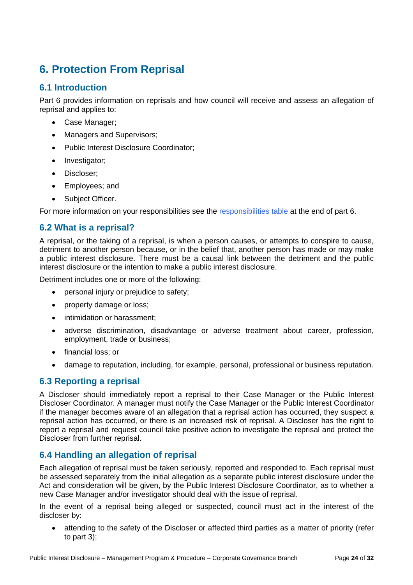## **6. Protection From Reprisal**

## **6.1 Introduction**

Part 6 provides information on reprisals and how council will receive and assess an allegation of reprisal and applies to:

- Case Manager;
- Managers and Supervisors;
- Public Interest Disclosure Coordinator;
- Investigator;
- Discloser:
- Employees; and
- Subject Officer.

For more information on your responsibilities see the responsibilities table at the end of part 6.

## **6.2 What is a reprisal?**

A reprisal, or the taking of a reprisal, is when a person causes, or attempts to conspire to cause, detriment to another person because, or in the belief that, another person has made or may make a public interest disclosure. There must be a causal link between the detriment and the public interest disclosure or the intention to make a public interest disclosure.

Detriment includes one or more of the following:

- personal injury or prejudice to safety;
- property damage or loss:
- intimidation or harassment:
- adverse discrimination, disadvantage or adverse treatment about career, profession, employment, trade or business;
- financial loss; or
- damage to reputation, including, for example, personal, professional or business reputation.

## **6.3 Reporting a reprisal**

A Discloser should immediately report a reprisal to their Case Manager or the Public Interest Discloser Coordinator. A manager must notify the Case Manager or the Public Interest Coordinator if the manager becomes aware of an allegation that a reprisal action has occurred, they suspect a reprisal action has occurred, or there is an increased risk of reprisal. A Discloser has the right to report a reprisal and request council take positive action to investigate the reprisal and protect the Discloser from further reprisal.

## **6.4 Handling an allegation of reprisal**

Each allegation of reprisal must be taken seriously, reported and responded to. Each reprisal must be assessed separately from the initial allegation as a separate public interest disclosure under the Act and consideration will be given, by the Public Interest Disclosure Coordinator, as to whether a new Case Manager and/or investigator should deal with the issue of reprisal.

In the event of a reprisal being alleged or suspected, council must act in the interest of the discloser by:

 attending to the safety of the Discloser or affected third parties as a matter of priority (refer to part 3);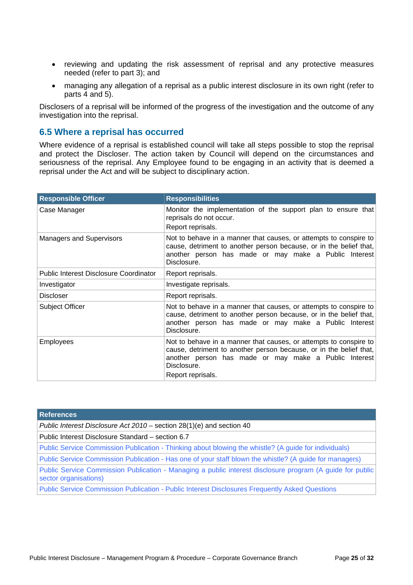- reviewing and updating the risk assessment of reprisal and any protective measures needed (refer to part 3); and
- managing any allegation of a reprisal as a public interest disclosure in its own right (refer to parts 4 and 5).

Disclosers of a reprisal will be informed of the progress of the investigation and the outcome of any investigation into the reprisal.

### **6.5 Where a reprisal has occurred**

Where evidence of a reprisal is established council will take all steps possible to stop the reprisal and protect the Discloser. The action taken by Council will depend on the circumstances and seriousness of the reprisal. Any Employee found to be engaging in an activity that is deemed a reprisal under the Act and will be subject to disciplinary action.

| <b>Responsible Officer</b>                    | <b>Responsibilities</b>                                                                                                                                                                                                              |  |  |
|-----------------------------------------------|--------------------------------------------------------------------------------------------------------------------------------------------------------------------------------------------------------------------------------------|--|--|
| Case Manager                                  | Monitor the implementation of the support plan to ensure that<br>reprisals do not occur.<br>Report reprisals.                                                                                                                        |  |  |
| <b>Managers and Supervisors</b>               | Not to behave in a manner that causes, or attempts to conspire to<br>cause, detriment to another person because, or in the belief that,<br>another person has made or may make a Public Interest<br>Disclosure.                      |  |  |
| <b>Public Interest Disclosure Coordinator</b> | Report reprisals.                                                                                                                                                                                                                    |  |  |
| Investigator                                  | Investigate reprisals.                                                                                                                                                                                                               |  |  |
| Discloser                                     | Report reprisals.                                                                                                                                                                                                                    |  |  |
| <b>Subject Officer</b>                        | Not to behave in a manner that causes, or attempts to conspire to<br>cause, detriment to another person because, or in the belief that,<br>another person has made or may make a Public Interest<br>Disclosure.                      |  |  |
| <b>Employees</b>                              | Not to behave in a manner that causes, or attempts to conspire to<br>cause, detriment to another person because, or in the belief that,<br>another person has made or may make a Public Interest<br>Disclosure.<br>Report reprisals. |  |  |

| <b>References</b>                                                                                                                  |
|------------------------------------------------------------------------------------------------------------------------------------|
| Public Interest Disclosure Act 2010 – section 28(1)(e) and section 40                                                              |
| Public Interest Disclosure Standard – section 6.7                                                                                  |
| Public Service Commission Publication - Thinking about blowing the whistle? (A guide for individuals)                              |
| Public Service Commission Publication - Has one of your staff blown the whistle? (A guide for managers)                            |
| Public Service Commission Publication - Managing a public interest disclosure program (A guide for public<br>sector organisations) |
| Public Service Commission Publication - Public Interest Disclosures Frequently Asked Questions                                     |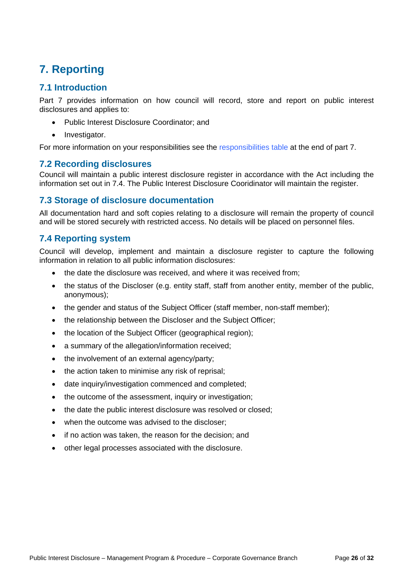## **7. Reporting**

## **7.1 Introduction**

Part 7 provides information on how council will record, store and report on public interest disclosures and applies to:

- Public Interest Disclosure Coordinator; and
- Investigator.

For more information on your responsibilities see the responsibilities table at the end of part 7.

## **7.2 Recording disclosures**

Council will maintain a public interest disclosure register in accordance with the Act including the information set out in 7.4. The Public Interest Disclosure Cooridinator will maintain the register.

## **7.3 Storage of disclosure documentation**

All documentation hard and soft copies relating to a disclosure will remain the property of council and will be stored securely with restricted access. No details will be placed on personnel files.

## **7.4 Reporting system**

Council will develop, implement and maintain a disclosure register to capture the following information in relation to all public information disclosures:

- the date the disclosure was received, and where it was received from;
- the status of the Discloser (e.g. entity staff, staff from another entity, member of the public, anonymous);
- the gender and status of the Subject Officer (staff member, non-staff member);
- the relationship between the Discloser and the Subject Officer;
- the location of the Subject Officer (geographical region);
- a summary of the allegation/information received;
- the involvement of an external agency/party:
- the action taken to minimise any risk of reprisal;
- date inquiry/investigation commenced and completed;
- the outcome of the assessment, inquiry or investigation;
- the date the public interest disclosure was resolved or closed:
- when the outcome was advised to the discloser;
- if no action was taken, the reason for the decision; and
- other legal processes associated with the disclosure.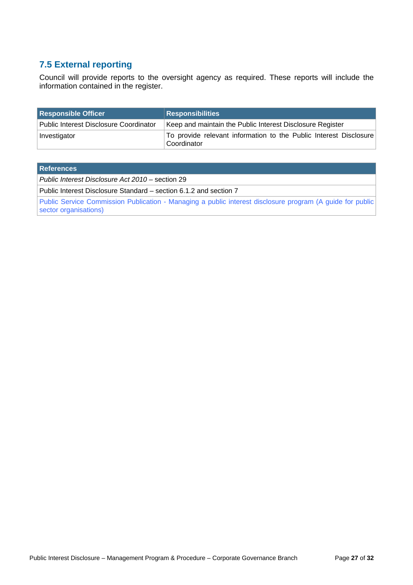## **7.5 External reporting**

Council will provide reports to the oversight agency as required. These reports will include the information contained in the register.

| <b>Responsible Officer</b>             | <b>Responsibilities</b>                                                          |  |  |
|----------------------------------------|----------------------------------------------------------------------------------|--|--|
| Public Interest Disclosure Coordinator | Keep and maintain the Public Interest Disclosure Register                        |  |  |
| Investigator                           | To provide relevant information to the Public Interest Disclosure<br>Coordinator |  |  |

| <b>References</b>                                                                                                                   |
|-------------------------------------------------------------------------------------------------------------------------------------|
| Public Interest Disclosure Act 2010 – section 29                                                                                    |
| Public Interest Disclosure Standard – section 6.1.2 and section 7                                                                   |
| Public Service Commission Publication - Managing a public interest disclosure program (A guide for public)<br>sector organisations) |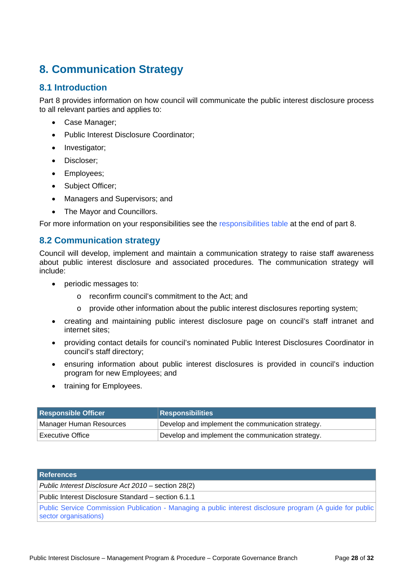## **8. Communication Strategy**

## **8.1 Introduction**

Part 8 provides information on how council will communicate the public interest disclosure process to all relevant parties and applies to:

- Case Manager;
- Public Interest Disclosure Coordinator;
- Investigator;
- Discloser;
- Employees;
- Subject Officer;
- Managers and Supervisors; and
- The Mavor and Councillors.

For more information on your responsibilities see the responsibilities table at the end of part 8.

## **8.2 Communication strategy**

Council will develop, implement and maintain a communication strategy to raise staff awareness about public interest disclosure and associated procedures. The communication strategy will include:

- periodic messages to:
	- o reconfirm council's commitment to the Act; and
	- $\circ$  provide other information about the public interest disclosures reporting system;
- creating and maintaining public interest disclosure page on council's staff intranet and internet sites;
- providing contact details for council's nominated Public Interest Disclosures Coordinator in council's staff directory;
- ensuring information about public interest disclosures is provided in council's induction program for new Employees; and
- training for Employees.

| <b>Responsible Officer</b>    | <b>Responsibilities</b>                           |  |
|-------------------------------|---------------------------------------------------|--|
| Manager Human Resources       | Develop and implement the communication strategy. |  |
| <sup>⊥</sup> Executive Office | Develop and implement the communication strategy. |  |

| <b>References</b>                                                                                                                   |
|-------------------------------------------------------------------------------------------------------------------------------------|
| Public Interest Disclosure Act 2010 – section 28(2)                                                                                 |
| Public Interest Disclosure Standard – section 6.1.1                                                                                 |
| Public Service Commission Publication - Managing a public interest disclosure program (A guide for public)<br>sector organisations) |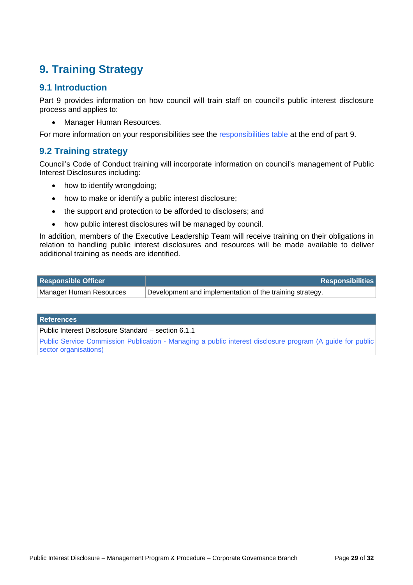## **9. Training Strategy**

## **9.1 Introduction**

Part 9 provides information on how council will train staff on council's public interest disclosure process and applies to:

• Manager Human Resources.

For more information on your responsibilities see the responsibilities table at the end of part 9.

## **9.2 Training strategy**

Council's Code of Conduct training will incorporate information on council's management of Public Interest Disclosures including:

- how to identify wrongdoing;
- how to make or identify a public interest disclosure;
- the support and protection to be afforded to disclosers; and
- how public interest disclosures will be managed by council.

In addition, members of the Executive Leadership Team will receive training on their obligations in relation to handling public interest disclosures and resources will be made available to deliver additional training as needs are identified.

| <b>Responsible Officer</b> | <b>Responsibilities</b>                                  |
|----------------------------|----------------------------------------------------------|
| Manager Human Resources    | Development and implementation of the training strategy. |

**References** 

Public Interest Disclosure Standard – section 6.1.1

Public Service Commission Publication - Managing a public interest disclosure program (A guide for public sector organisations)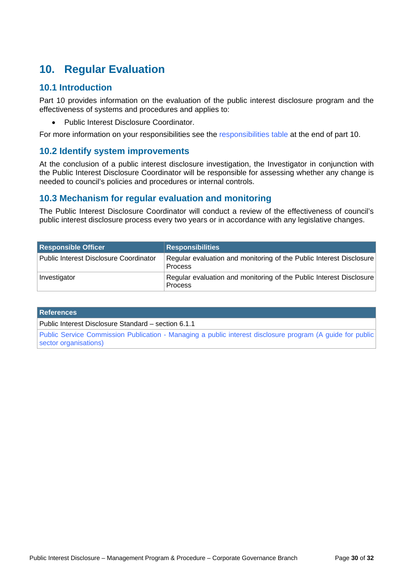## **10. Regular Evaluation**

### **10.1 Introduction**

Part 10 provides information on the evaluation of the public interest disclosure program and the effectiveness of systems and procedures and applies to:

Public Interest Disclosure Coordinator.

For more information on your responsibilities see the responsibilities table at the end of part 10.

## **10.2 Identify system improvements**

At the conclusion of a public interest disclosure investigation, the Investigator in conjunction with the Public Interest Disclosure Coordinator will be responsible for assessing whether any change is needed to council's policies and procedures or internal controls.

## **10.3 Mechanism for regular evaluation and monitoring**

The Public Interest Disclosure Coordinator will conduct a review of the effectiveness of council's public interest disclosure process every two years or in accordance with any legislative changes.

| <b>Responsible Officer</b>             | <b>Responsibilities</b>                                                               |
|----------------------------------------|---------------------------------------------------------------------------------------|
| Public Interest Disclosure Coordinator | Regular evaluation and monitoring of the Public Interest Disclosure<br><b>Process</b> |
| Investigator                           | Regular evaluation and monitoring of the Public Interest Disclosure<br><b>Process</b> |

**References** 

Public Interest Disclosure Standard – section 6.1.1

Public Service Commission Publication - Managing a public interest disclosure program (A guide for public sector organisations)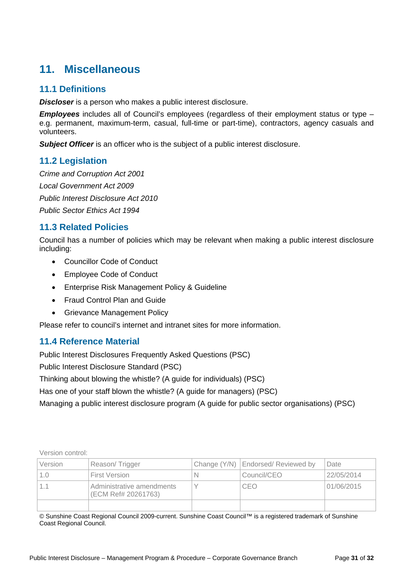## **11. Miscellaneous**

## **11.1 Definitions**

*Discloser* is a person who makes a public interest disclosure.

*Employees* includes all of Council's employees (regardless of their employment status or type – e.g. permanent, maximum-term, casual, full-time or part-time), contractors, agency casuals and volunteers.

*Subject Officer* is an officer who is the subject of a public interest disclosure.

## **11.2 Legislation**

*Crime and Corruption Act 2001 Local Government Act 2009 Public Interest Disclosure Act 2010 Public Sector Ethics Act 1994* 

## **11.3 Related Policies**

Council has a number of policies which may be relevant when making a public interest disclosure including:

- Councillor Code of Conduct
- Employee Code of Conduct
- Enterprise Risk Management Policy & Guideline
- Fraud Control Plan and Guide
- **•** Grievance Management Policy

Please refer to council's internet and intranet sites for more information.

## **11.4 Reference Material**

Public Interest Disclosures Frequently Asked Questions (PSC)

Public Interest Disclosure Standard (PSC)

Thinking about blowing the whistle? (A guide for individuals) (PSC)

Has one of your staff blown the whistle? (A guide for managers) (PSC)

Managing a public interest disclosure program (A guide for public sector organisations) (PSC)

Version control:

| Version | Reason/Trigger                                   | Change (Y/N)   Endorsed/ Reviewed by | Date       |
|---------|--------------------------------------------------|--------------------------------------|------------|
| 1.0     | First Version                                    | Council/CEO                          | 22/05/2014 |
| 11      | Administrative amendments<br>(ECM Ref# 20261763) | CEO                                  | 01/06/2015 |
|         |                                                  |                                      |            |

© Sunshine Coast Regional Council 2009-current. Sunshine Coast Council™ is a registered trademark of Sunshine Coast Regional Council.